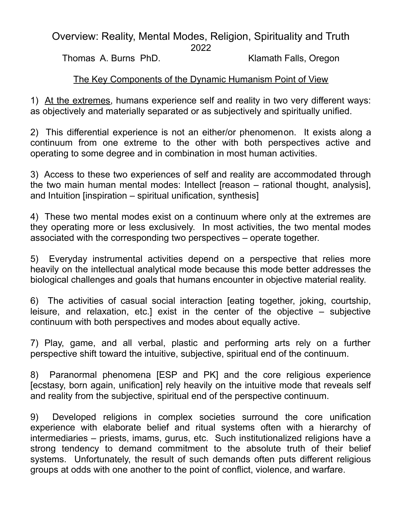## Overview: Reality, Mental Modes, Religion, Spirituality and Truth

2022

Thomas A. Burns PhD. Klamath Falls, Oregon

## The Key Components of the Dynamic Humanism Point of View

1) At the extremes, humans experience self and reality in two very different ways: as objectively and materially separated or as subjectively and spiritually unified.

2) This differential experience is not an either/or phenomenon. It exists along a continuum from one extreme to the other with both perspectives active and operating to some degree and in combination in most human activities.

3) Access to these two experiences of self and reality are accommodated through the two main human mental modes: Intellect [reason – rational thought, analysis], and Intuition [inspiration – spiritual unification, synthesis]

4) These two mental modes exist on a continuum where only at the extremes are they operating more or less exclusively. In most activities, the two mental modes associated with the corresponding two perspectives – operate together.

5) Everyday instrumental activities depend on a perspective that relies more heavily on the intellectual analytical mode because this mode better addresses the biological challenges and goals that humans encounter in objective material reality.

6) The activities of casual social interaction [eating together, joking, courtship, leisure, and relaxation, etc.] exist in the center of the objective – subjective continuum with both perspectives and modes about equally active.

7) Play, game, and all verbal, plastic and performing arts rely on a further perspective shift toward the intuitive, subjective, spiritual end of the continuum.

8) Paranormal phenomena [ESP and PK] and the core religious experience [ecstasy, born again, unification] rely heavily on the intuitive mode that reveals self and reality from the subjective, spiritual end of the perspective continuum.

9) Developed religions in complex societies surround the core unification experience with elaborate belief and ritual systems often with a hierarchy of intermediaries – priests, imams, gurus, etc. Such institutionalized religions have a strong tendency to demand commitment to the absolute truth of their belief systems. Unfortunately, the result of such demands often puts different religious groups at odds with one another to the point of conflict, violence, and warfare.